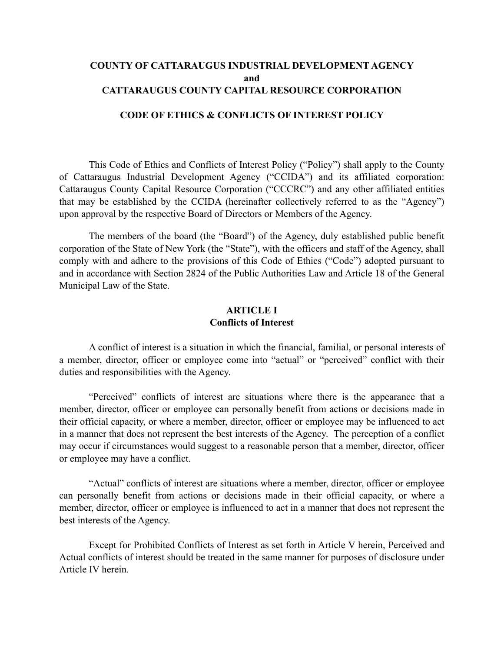# **COUNTY OF CATTARAUGUS INDUSTRIAL DEVELOPMENT AGENCY and CATTARAUGUS COUNTY CAPITAL RESOURCE CORPORATION**

#### **CODE OF ETHICS & CONFLICTS OF INTEREST POLICY**

This Code of Ethics and Conflicts of Interest Policy ("Policy") shall apply to the County of Cattaraugus Industrial Development Agency ("CCIDA") and its affiliated corporation: Cattaraugus County Capital Resource Corporation ("CCCRC") and any other affiliated entities that may be established by the CCIDA (hereinafter collectively referred to as the "Agency") upon approval by the respective Board of Directors or Members of the Agency.

The members of the board (the "Board") of the Agency, duly established public benefit corporation of the State of New York (the "State"), with the officers and staff of the Agency, shall comply with and adhere to the provisions of this Code of Ethics ("Code") adopted pursuant to and in accordance with Section 2824 of the Public Authorities Law and Article 18 of the General Municipal Law of the State.

## **ARTICLE I Conflicts of Interest**

A conflict of interest is a situation in which the financial, familial, or personal interests of a member, director, officer or employee come into "actual" or "perceived" conflict with their duties and responsibilities with the Agency.

"Perceived" conflicts of interest are situations where there is the appearance that a member, director, officer or employee can personally benefit from actions or decisions made in their official capacity, or where a member, director, officer or employee may be influenced to act in a manner that does not represent the best interests of the Agency. The perception of a conflict may occur if circumstances would suggest to a reasonable person that a member, director, officer or employee may have a conflict.

"Actual" conflicts of interest are situations where a member, director, officer or employee can personally benefit from actions or decisions made in their official capacity, or where a member, director, officer or employee is influenced to act in a manner that does not represent the best interests of the Agency.

Except for Prohibited Conflicts of Interest as set forth in Article V herein, Perceived and Actual conflicts of interest should be treated in the same manner for purposes of disclosure under Article IV herein.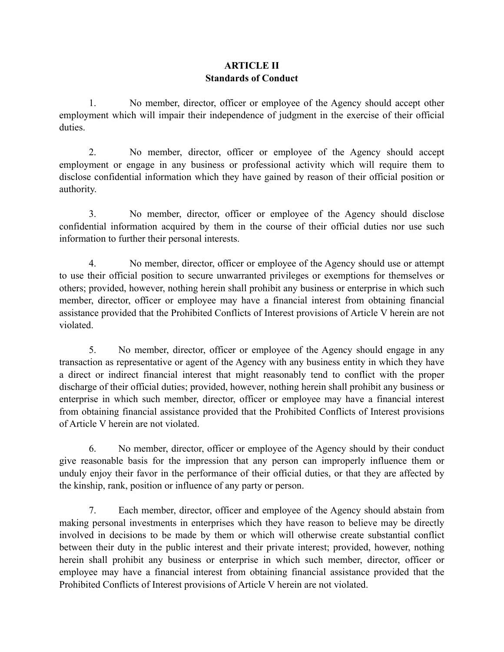# **ARTICLE II Standards of Conduct**

1. No member, director, officer or employee of the Agency should accept other employment which will impair their independence of judgment in the exercise of their official duties.

2. No member, director, officer or employee of the Agency should accept employment or engage in any business or professional activity which will require them to disclose confidential information which they have gained by reason of their official position or authority.

3. No member, director, officer or employee of the Agency should disclose confidential information acquired by them in the course of their official duties nor use such information to further their personal interests.

4. No member, director, officer or employee of the Agency should use or attempt to use their official position to secure unwarranted privileges or exemptions for themselves or others; provided, however, nothing herein shall prohibit any business or enterprise in which such member, director, officer or employee may have a financial interest from obtaining financial assistance provided that the Prohibited Conflicts of Interest provisions of Article V herein are not violated.

5. No member, director, officer or employee of the Agency should engage in any transaction as representative or agent of the Agency with any business entity in which they have a direct or indirect financial interest that might reasonably tend to conflict with the proper discharge of their official duties; provided, however, nothing herein shall prohibit any business or enterprise in which such member, director, officer or employee may have a financial interest from obtaining financial assistance provided that the Prohibited Conflicts of Interest provisions of Article V herein are not violated.

6. No member, director, officer or employee of the Agency should by their conduct give reasonable basis for the impression that any person can improperly influence them or unduly enjoy their favor in the performance of their official duties, or that they are affected by the kinship, rank, position or influence of any party or person.

7. Each member, director, officer and employee of the Agency should abstain from making personal investments in enterprises which they have reason to believe may be directly involved in decisions to be made by them or which will otherwise create substantial conflict between their duty in the public interest and their private interest; provided, however, nothing herein shall prohibit any business or enterprise in which such member, director, officer or employee may have a financial interest from obtaining financial assistance provided that the Prohibited Conflicts of Interest provisions of Article V herein are not violated.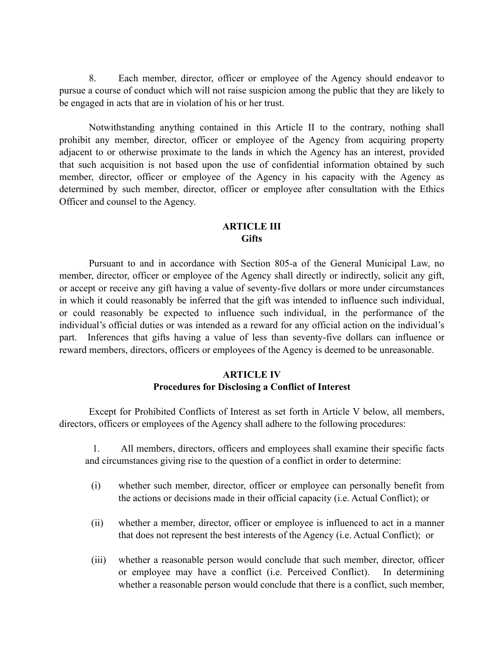8. Each member, director, officer or employee of the Agency should endeavor to pursue a course of conduct which will not raise suspicion among the public that they are likely to be engaged in acts that are in violation of his or her trust.

Notwithstanding anything contained in this Article II to the contrary, nothing shall prohibit any member, director, officer or employee of the Agency from acquiring property adjacent to or otherwise proximate to the lands in which the Agency has an interest, provided that such acquisition is not based upon the use of confidential information obtained by such member, director, officer or employee of the Agency in his capacity with the Agency as determined by such member, director, officer or employee after consultation with the Ethics Officer and counsel to the Agency.

### **ARTICLE III Gifts**

Pursuant to and in accordance with Section 805-a of the General Municipal Law, no member, director, officer or employee of the Agency shall directly or indirectly, solicit any gift, or accept or receive any gift having a value of seventy-five dollars or more under circumstances in which it could reasonably be inferred that the gift was intended to influence such individual, or could reasonably be expected to influence such individual, in the performance of the individual's official duties or was intended as a reward for any official action on the individual's part. Inferences that gifts having a value of less than seventy-five dollars can influence or reward members, directors, officers or employees of the Agency is deemed to be unreasonable.

## **ARTICLE IV Procedures for Disclosing a Conflict of Interest**

Except for Prohibited Conflicts of Interest as set forth in Article V below, all members, directors, officers or employees of the Agency shall adhere to the following procedures:

1. All members, directors, officers and employees shall examine their specific facts and circumstances giving rise to the question of a conflict in order to determine:

- (i) whether such member, director, officer or employee can personally benefit from the actions or decisions made in their official capacity (i.e. Actual Conflict); or
- (ii) whether a member, director, officer or employee is influenced to act in a manner that does not represent the best interests of the Agency (i.e. Actual Conflict); or
- (iii) whether a reasonable person would conclude that such member, director, officer or employee may have a conflict (i.e. Perceived Conflict). In determining whether a reasonable person would conclude that there is a conflict, such member,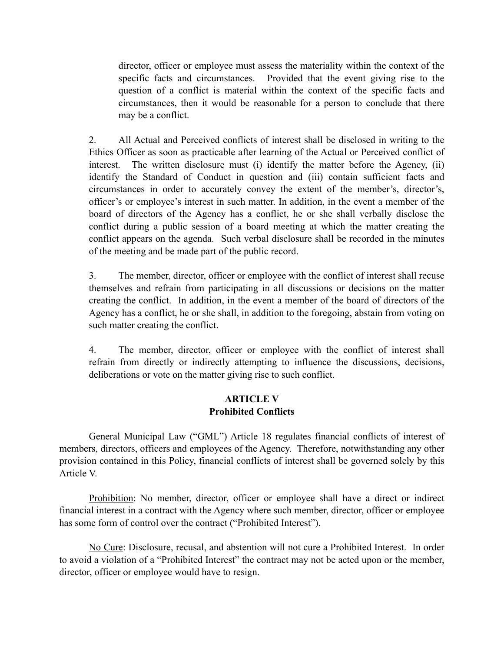director, officer or employee must assess the materiality within the context of the specific facts and circumstances. Provided that the event giving rise to the question of a conflict is material within the context of the specific facts and circumstances, then it would be reasonable for a person to conclude that there may be a conflict.

2. All Actual and Perceived conflicts of interest shall be disclosed in writing to the Ethics Officer as soon as practicable after learning of the Actual or Perceived conflict of interest. The written disclosure must (i) identify the matter before the Agency, (ii) identify the Standard of Conduct in question and (iii) contain sufficient facts and circumstances in order to accurately convey the extent of the member's, director's, officer's or employee's interest in such matter. In addition, in the event a member of the board of directors of the Agency has a conflict, he or she shall verbally disclose the conflict during a public session of a board meeting at which the matter creating the conflict appears on the agenda. Such verbal disclosure shall be recorded in the minutes of the meeting and be made part of the public record.

3. The member, director, officer or employee with the conflict of interest shall recuse themselves and refrain from participating in all discussions or decisions on the matter creating the conflict. In addition, in the event a member of the board of directors of the Agency has a conflict, he or she shall, in addition to the foregoing, abstain from voting on such matter creating the conflict.

4. The member, director, officer or employee with the conflict of interest shall refrain from directly or indirectly attempting to influence the discussions, decisions, deliberations or vote on the matter giving rise to such conflict.

## **ARTICLE V Prohibited Conflicts**

General Municipal Law ("GML") Article 18 regulates financial conflicts of interest of members, directors, officers and employees of the Agency. Therefore, notwithstanding any other provision contained in this Policy, financial conflicts of interest shall be governed solely by this Article V.

Prohibition: No member, director, officer or employee shall have a direct or indirect financial interest in a contract with the Agency where such member, director, officer or employee has some form of control over the contract ("Prohibited Interest").

No Cure: Disclosure, recusal, and abstention will not cure a Prohibited Interest. In order to avoid a violation of a "Prohibited Interest" the contract may not be acted upon or the member, director, officer or employee would have to resign.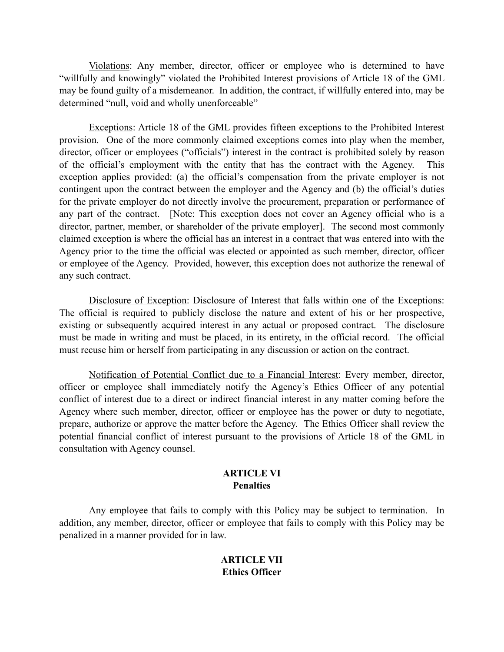Violations: Any member, director, officer or employee who is determined to have "willfully and knowingly" violated the Prohibited Interest provisions of Article 18 of the GML may be found guilty of a misdemeanor. In addition, the contract, if willfully entered into, may be determined "null, void and wholly unenforceable"

Exceptions: Article 18 of the GML provides fifteen exceptions to the Prohibited Interest provision. One of the more commonly claimed exceptions comes into play when the member, director, officer or employees ("officials") interest in the contract is prohibited solely by reason of the official's employment with the entity that has the contract with the Agency. This exception applies provided: (a) the official's compensation from the private employer is not contingent upon the contract between the employer and the Agency and (b) the official's duties for the private employer do not directly involve the procurement, preparation or performance of any part of the contract. [Note: This exception does not cover an Agency official who is a director, partner, member, or shareholder of the private employer]. The second most commonly claimed exception is where the official has an interest in a contract that was entered into with the Agency prior to the time the official was elected or appointed as such member, director, officer or employee of the Agency. Provided, however, this exception does not authorize the renewal of any such contract.

Disclosure of Exception: Disclosure of Interest that falls within one of the Exceptions: The official is required to publicly disclose the nature and extent of his or her prospective, existing or subsequently acquired interest in any actual or proposed contract. The disclosure must be made in writing and must be placed, in its entirety, in the official record. The official must recuse him or herself from participating in any discussion or action on the contract.

Notification of Potential Conflict due to a Financial Interest: Every member, director, officer or employee shall immediately notify the Agency's Ethics Officer of any potential conflict of interest due to a direct or indirect financial interest in any matter coming before the Agency where such member, director, officer or employee has the power or duty to negotiate, prepare, authorize or approve the matter before the Agency. The Ethics Officer shall review the potential financial conflict of interest pursuant to the provisions of Article 18 of the GML in consultation with Agency counsel.

#### **ARTICLE VI Penalties**

Any employee that fails to comply with this Policy may be subject to termination. In addition, any member, director, officer or employee that fails to comply with this Policy may be penalized in a manner provided for in law.

# **ARTICLE VII Ethics Officer**